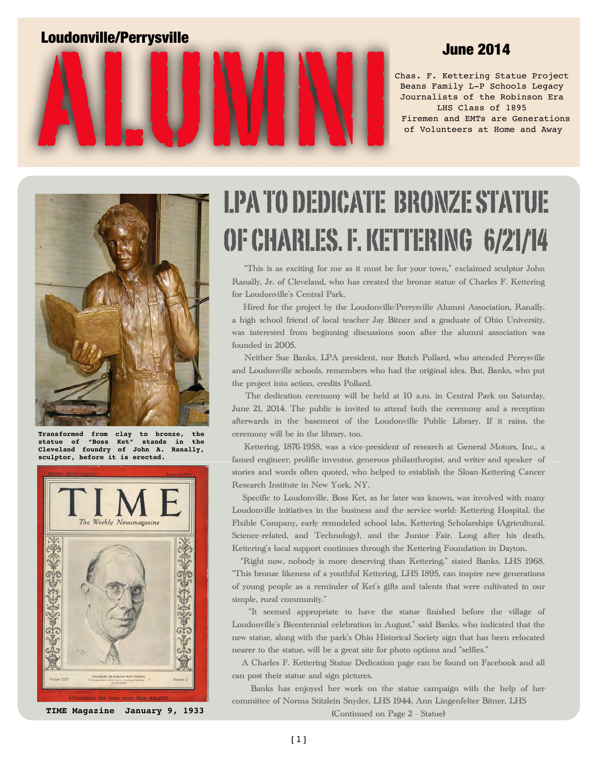

Chas. F. Kettering Statue Project Beans Family L-P Schools Legacy Journalists of the Robinson Era LHS Class of 1895 Firemen and EMTs are Generations of Volunteers at Home and Away



**Transformed from clay to bronze, the statue of "Boss Ket" stands in the Cleveland foundry of John A. Ranally, sculptor, before it is erected.**



LPA TO DEDICATE BRONZE STATUE OF CHARLES. F. KETTERING 6/21/14

 "This is as exciting for me as it must be for your town," exclaimed sculptor John Ranally, Jr. of Cleveland, who has created the bronze statue of Charles F. Kettering for Loudonville's Central Park.

 Hired for the project by the Loudonville/Perrysville Alumni Association, Ranally, a high school friend of local teacher Jay Bitner and a graduate of Ohio University, was interested from beginning discussions soon after the alumni association was founded in 2005.

 Neither Sue Banks, LPA president, nor Butch Pollard, who attended Perrysville and Loudonville schools, remembers who had the original idea. But, Banks, who put the project into action, credits Pollard.

 The dedication ceremony will be held at 10 a.m. in Central Park on Saturday, June 21, 2014. The public is invited to attend both the ceremony and a reception afterwards in the basement of the Loudonville Public Library. If it rains, the ceremony will be in the library, too.

 Kettering, 1876-1958, was a vice-president of research at General Motors, Inc., a famed engineer, prolific inventor, generous philanthropist, and writer and speaker of stories and words often quoted, who helped to establish the Sloan-Kettering Cancer Research Institute in New York, NY.

 Specific to Loudonville, Boss Ket, as he later was known, was involved with many Loudonville initiatives in the business and the service world: Kettering Hospital, the Flxible Company, early remodeled school labs, Kettering Scholarships (Agricultural, Science-related, and Technology), and the Junior Fair. Long after his death, Kettering's local support continues through the Kettering Foundation in Dayton.

 "Right now, nobody is more deserving than Kettering," stated Banks, LHS 1968. "This bronze likeness of a youthful Kettering, LHS 1895, can inspire new generations of young people as a reminder of Ket's gifts and talents that were cultivated in our simple, rural community."

 "It seemed appropriate to have the statue finished before the village of Loudonville's Bicentennial celebration in August," said Banks, who indicated that the new statue, along with the park's Ohio Historical Society sign that has been relocated nearer to the statue, will be a great site for photo options and "selfies."

 A Charles F. Kettering Statue Dedication page can be found on Facebook and all can post their statue and sign pictures.

 Banks has enjoyed her work on the statue campaign with the help of her committee of Norma Stitzlein Snyder, LHS 1944, Ann Lingenfelter Bitner, LHS

(Continued on Page 2 - Statue)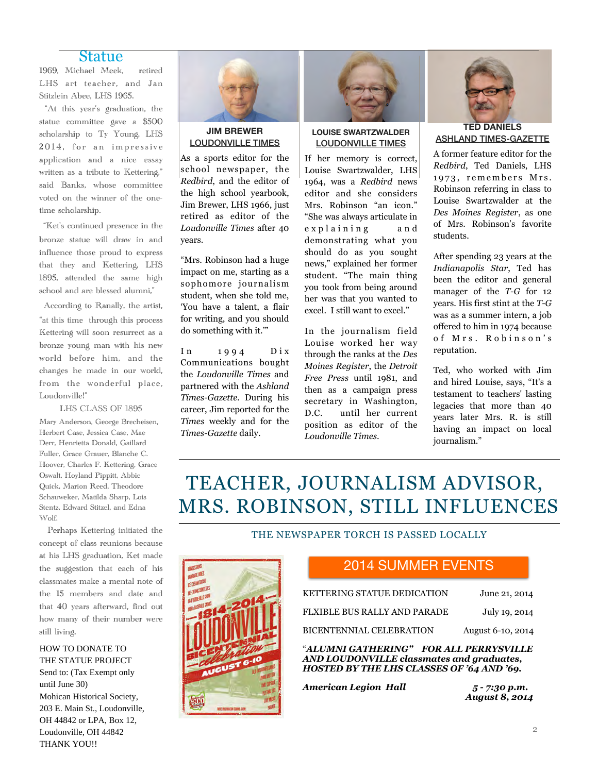### Statue

1969, Michael Meek, retired LHS art teacher, and Jan Stitzlein Abee, LHS 1965.

 "At this year's graduation, the statue committee gave a \$500 scholarship to Ty Young, LHS 2014, for an impressive application and a nice essay written as a tribute to Kettering," said Banks, whose committee voted on the winner of the onetime scholarship.

"Ket's continued presence in the bronze statue will draw in and influence those proud to express that they and Kettering, LHS 1895, attended the same high school and are blessed alumni,"

According to Ranally, the artist, "at this time through this process Kettering will soon resurrect as a bronze young man with his new world before him, and the changes he made in our world, from the wonderful place, Loudonville!"

LHS CLASS OF 1895 Mary Anderson, George Brecheisen, Herbert Case, Jessica Case, Mae Derr, Henrietta Donald, Gaillard Fuller, Grace Grauer, Blanche C. Hoover, Charles F. Kettering, Grace Oswalt, Hoyland Pippitt, Abbie Quick, Marion Reed, Theodore Schauweker, Matilda Sharp, Lois Stentz, Edward Stitzel, and Edna Wolf.

 Perhaps Kettering initiated the concept of class reunions because at his LHS graduation, Ket made the suggestion that each of his classmates make a mental note of the 15 members and date and that 40 years afterward, find out how many of their number were still living.

HOW TO DONATE TO THE STATUE PROJECT Send to: (Tax Exempt only until June 30) Mohican Historical Society, 203 E. Main St., Loudonville, OH 44842 or LPA, Box 12, Loudonville, OH 44842 THANK YOU!!



### **JIM BREWER**  LOUDONVILLE TIMES

As a sports editor for the school newspaper, the *Redbird*, and the editor of the high school yearbook, Jim Brewer, LHS 1966, just retired as editor of the *Loudonville Times* after 40 years.

"Mrs. Robinson had a huge impact on me, starting as a sophomore journalism student, when she told me, 'You have a talent, a flair for writing, and you should do something with it.'"

 $In$  1994  $Dix$ Communications bought the *Loudonville Times* and partnered with the *Ashland Times-Gazette.* During his career, Jim reported for the *Times* weekly and for the *Times-Gazette* daily.



### **LOUISE SWARTZWALDER**  LOUDONVILLE TIMES

If her memory is correct, Louise Swartzwalder, LHS 1964, was a *Redbird* news editor and she considers Mrs. Robinson "an icon." "She was always articulate in e x p l a i n i n g a n d demonstrating what you should do as you sought news," explained her former student. "The main thing you took from being around her was that you wanted to excel. I still want to excel."

In the journalism field Louise worked her way through the ranks at the *Des Moines Register*, the *Detroit Free Press* until 1981, and then as a campaign press secretary in Washington, D.C. until her current position as editor of the *Loudonville Times*.



### **TED DANIELS**  ASHLAND TIMES-GAZETTE

A former feature editor for the *Redbird*, Ted Daniels, LHS 1973, remembers Mrs. Robinson referring in class to Louise Swartzwalder at the *Des Moines Register*, as one of Mrs. Robinson's favorite students.

After spending 23 years at the *Indianapolis Star*, Ted has been the editor and general manager of the *T-G* for 12 years. His first stint at the *T-G*  was as a summer intern, a job offered to him in 1974 because of Mrs. Robinson's reputation.

Ted, who worked with Jim and hired Louise, says, "It's a testament to teachers' lasting legacies that more than 40 years later Mrs. R. is still having an impact on local journalism."

# TEACHER, JOURNALISM ADVISOR, MRS. ROBINSON, STILL INFLUENCES

### THE NEWSPAPER TORCH IS PASSED LOCALLY



### 2014 SUMMER EVENTS

| "ALUMNI GATHERING" FOR ALL PERRYSVILLE<br>AND LOUDONVILLE classmates and graduates,<br>HOSTED BY THE LHS CLASSES OF '64 AND '69. |                   |
|----------------------------------------------------------------------------------------------------------------------------------|-------------------|
| BICENTENNIAL CELEBRATION                                                                                                         | August 6-10, 2014 |
| FLXIBLE BUS RALLY AND PARADE                                                                                                     | July 19, 2014     |
| KETTERING STATUE DEDICATION                                                                                                      | June 21, 2014     |

*American Legion Hall 5 - 7:30 p.m.* 

 *August 8, 2014*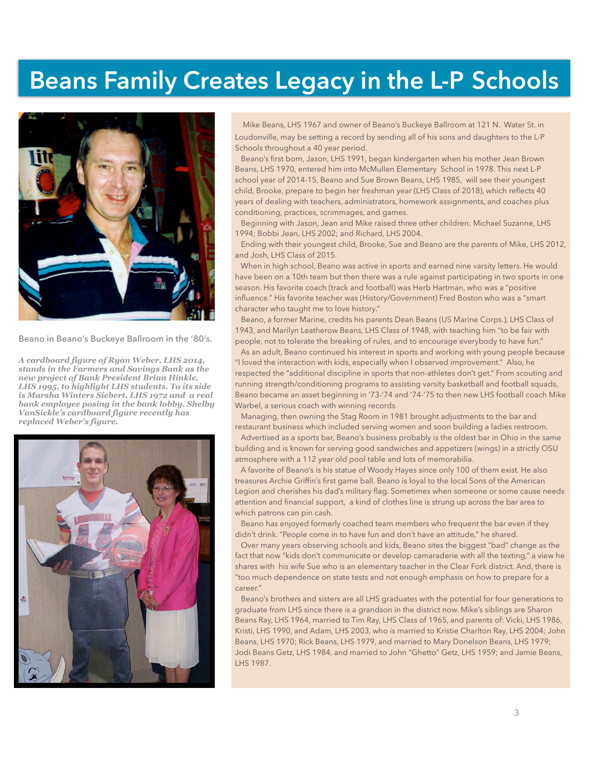# **Beans Family Creates Legacy in the L-P Schools**



**Beano in Beano's Buckeye Ballroom in the '80's.** 

*A cardboard figure of Ryan Weber, LHS 2014, stands in the Farmers and Savings Bank as the new project of Bank President Brian Hinkle, LHS 1995, to highlight LHS students. To its side is Marsha Winters Siebert, LHS 1972 and a real bank employee posing in the bank lobby. Shelby VanSickle's cardboard figure recently has replaced Weber's figure.*



Mike Beans, LHS 1967 and owner of Beano's Buckeye Ballroom at 121 N. Water St. in Loudonville, may be setting a record by sending all of his sons and daughters to the L-P Schools throughout a 40 year period.

 Beano's first born, Jason, LHS 1991, began kindergarten when his mother Jean Brown Beans, LHS 1970, entered him into McMullen Elementary School in 1978. This next L-P school year of 2014-15, Beano and Sue Brown Beans, LHS 1985, will see their youngest child, Brooke, prepare to begin her freshman year (LHS Class of 2018), which reflects 40 years of dealing with teachers, administrators, homework assignments, and coaches plus conditioning, practices, scrimmages, and games.

 Beginning with Jason, Jean and Mike raised three other children: Michael Suzanne, LHS 1994; Bobbi Jean, LHS 2002; and Richard, LHS 2004.

 Ending with their youngest child, Brooke, Sue and Beano are the parents of Mike, LHS 2012, and Josh, LHS Class of 2015.

 When in high school, Beano was active in sports and earned nine varsity letters. He would have been on a 10th team but then there was a rule against participating in two sports in one season. His favorite coach (track and football) was Herb Hartman, who was a "positive influence." His favorite teacher was (History/Government) Fred Boston who was a "smart character who taught me to love history."

 Beano, a former Marine, credits his parents Dean Beans (US Marine Corps.), LHS Class of 1943, and Marilyn Leatherow Beans, LHS Class of 1948, with teaching him "to be fair with people, not to tolerate the breaking of rules, and to encourage everybody to have fun."

 As an adult, Beano continued his interest in sports and working with young people because "I loved the interaction with kids, especially when I observed improvement." Also, he respected the "additional discipline in sports that non-athletes don't get." From scouting and running strength/conditioning programs to assisting varsity basketball and football squads, Beano became an asset beginning in '73-'74 and '74-'75 to then new LHS football coach Mike Warbel, a serious coach with winning records.

 Managing, then owning the Stag Room in 1981 brought adjustments to the bar and restaurant business which included serving women and soon building a ladies restroom.

 Advertised as a sports bar, Beano's business probably is the oldest bar in Ohio in the same building and is known for serving good sandwiches and appetizers (wings) in a strictly OSU atmosphere with a 112 year old pool table and lots of memorabilia.

 A favorite of Beano's is his statue of Woody Hayes since only 100 of them exist. He also treasures Archie Griffin's first game ball. Beano is loyal to the local Sons of the American Legion and cherishes his dad's military flag. Sometimes when someone or some cause needs attention and financial support, a kind of clothes line is strung up across the bar area to which patrons can pin cash.

 Beano has enjoyed formerly coached team members who frequent the bar even if they didn't drink. "People come in to have fun and don't have an attitude," he shared.

 Over many years observing schools and kids, Beano sites the biggest "bad" change as the fact that now "kids don't communicate or develop camaraderie with all the texting," a view he shares with his wife Sue who is an elementary teacher in the Clear Fork district. And, there is "too much dependence on state tests and not enough emphasis on how to prepare for a career."

 Beano's brothers and sisters are all LHS graduates with the potential for four generations to graduate from LHS since there is a grandson in the district now. Mike's siblings are Sharon Beans Ray, LHS 1964, married to Tim Ray, LHS Class of 1965, and parents of: Vicki, LHS 1986, Kristi, LHS 1990, and Adam, LHS 2003, who is married to Kristie Charlton Ray, LHS 2004; John Beans, LHS 1970; Rick Beans, LHS 1979, and married to Mary Donelson Beans, LHS 1979; Jodi Beans Getz, LHS 1984, and married to John "Ghetto" Getz, LHS 1959; and Jamie Beans, LHS 1987.